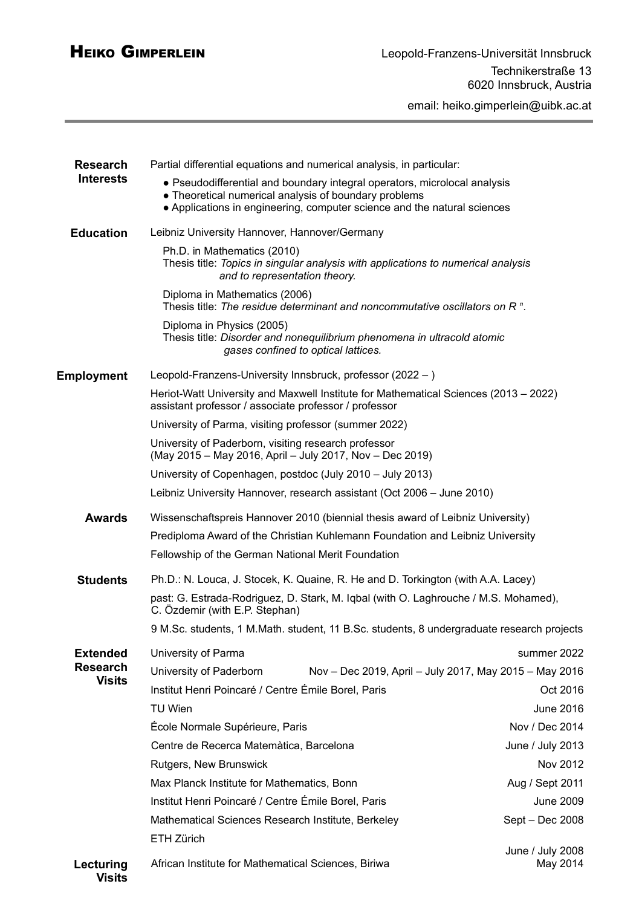email: heiko.gimperlein@uibk.ac.at

| <b>Research</b><br><b>Interests</b><br><b>Education</b> | Partial differential equations and numerical analysis, in particular:                                                                                                                                          |                              |
|---------------------------------------------------------|----------------------------------------------------------------------------------------------------------------------------------------------------------------------------------------------------------------|------------------------------|
|                                                         | • Pseudodifferential and boundary integral operators, microlocal analysis<br>• Theoretical numerical analysis of boundary problems<br>• Applications in engineering, computer science and the natural sciences |                              |
|                                                         | Leibniz University Hannover, Hannover/Germany                                                                                                                                                                  |                              |
|                                                         | Ph.D. in Mathematics (2010)<br>Thesis title: Topics in singular analysis with applications to numerical analysis<br>and to representation theory.                                                              |                              |
|                                                         | Diploma in Mathematics (2006)<br>Thesis title: The residue determinant and noncommutative oscillators on $Rn$ .                                                                                                |                              |
|                                                         | Diploma in Physics (2005)<br>Thesis title: Disorder and nonequilibrium phenomena in ultracold atomic<br>gases confined to optical lattices.                                                                    |                              |
| <b>Employment</b>                                       | Leopold-Franzens-University Innsbruck, professor (2022 - )                                                                                                                                                     |                              |
|                                                         | Heriot-Watt University and Maxwell Institute for Mathematical Sciences (2013 – 2022)<br>assistant professor / associate professor / professor                                                                  |                              |
|                                                         | University of Parma, visiting professor (summer 2022)                                                                                                                                                          |                              |
|                                                         | University of Paderborn, visiting research professor<br>(May 2015 - May 2016, April - July 2017, Nov - Dec 2019)                                                                                               |                              |
|                                                         | University of Copenhagen, postdoc (July 2010 - July 2013)                                                                                                                                                      |                              |
|                                                         | Leibniz University Hannover, research assistant (Oct 2006 - June 2010)                                                                                                                                         |                              |
| <b>Awards</b>                                           | Wissenschaftspreis Hannover 2010 (biennial thesis award of Leibniz University)                                                                                                                                 |                              |
|                                                         | Prediploma Award of the Christian Kuhlemann Foundation and Leibniz University                                                                                                                                  |                              |
|                                                         | Fellowship of the German National Merit Foundation                                                                                                                                                             |                              |
| <b>Students</b>                                         | Ph.D.: N. Louca, J. Stocek, K. Quaine, R. He and D. Torkington (with A.A. Lacey)                                                                                                                               |                              |
|                                                         | past: G. Estrada-Rodriguez, D. Stark, M. Iqbal (with O. Laghrouche / M.S. Mohamed),<br>C. Özdemir (with E.P. Stephan)                                                                                          |                              |
|                                                         | 9 M.Sc. students, 1 M.Math. student, 11 B.Sc. students, 8 undergraduate research projects                                                                                                                      |                              |
| <b>Extended</b><br><b>Research</b><br><b>Visits</b>     | University of Parma                                                                                                                                                                                            | summer 2022                  |
|                                                         | University of Paderborn<br>Nov - Dec 2019, April - July 2017, May 2015 - May 2016                                                                                                                              |                              |
|                                                         | Institut Henri Poincaré / Centre Émile Borel, Paris                                                                                                                                                            | Oct 2016                     |
|                                                         | <b>TU Wien</b>                                                                                                                                                                                                 | June 2016                    |
|                                                         | École Normale Supérieure, Paris                                                                                                                                                                                | Nov / Dec 2014               |
|                                                         | Centre de Recerca Matemàtica, Barcelona                                                                                                                                                                        | June / July 2013             |
|                                                         | Rutgers, New Brunswick                                                                                                                                                                                         | Nov 2012                     |
|                                                         | Max Planck Institute for Mathematics, Bonn                                                                                                                                                                     | Aug / Sept 2011              |
|                                                         | Institut Henri Poincaré / Centre Émile Borel, Paris                                                                                                                                                            | <b>June 2009</b>             |
|                                                         | Mathematical Sciences Research Institute, Berkeley                                                                                                                                                             | Sept - Dec 2008              |
|                                                         | ETH Zürich                                                                                                                                                                                                     |                              |
| Lecturing<br><b>Visits</b>                              | African Institute for Mathematical Sciences, Biriwa                                                                                                                                                            | June / July 2008<br>May 2014 |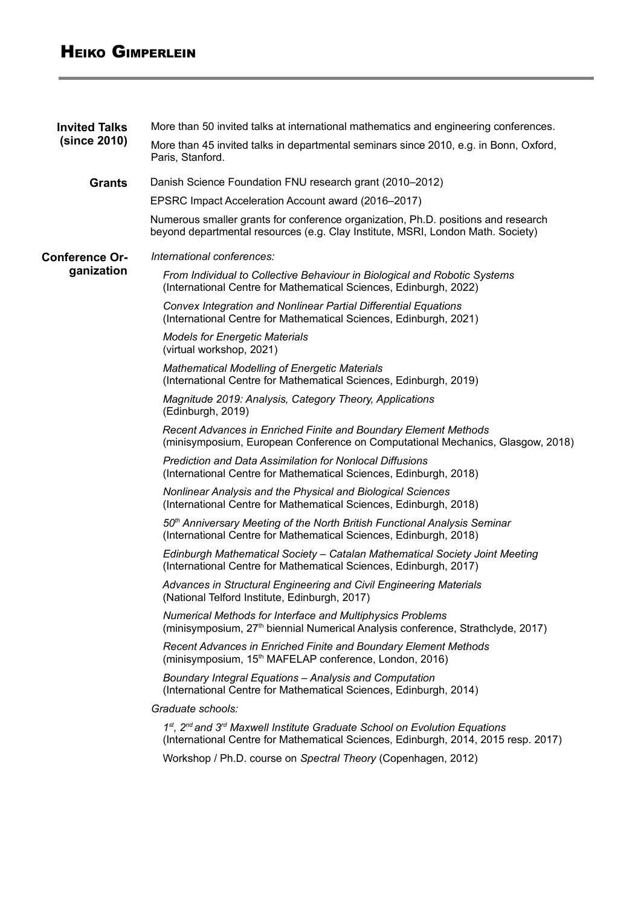## HEIKO GIMPERLEIN

| <b>Invited Talks</b><br>(since 2010) | More than 50 invited talks at international mathematics and engineering conferences.                                                                                                    |  |
|--------------------------------------|-----------------------------------------------------------------------------------------------------------------------------------------------------------------------------------------|--|
|                                      | More than 45 invited talks in departmental seminars since 2010, e.g. in Bonn, Oxford,<br>Paris, Stanford.                                                                               |  |
| <b>Grants</b>                        | Danish Science Foundation FNU research grant (2010–2012)                                                                                                                                |  |
|                                      | EPSRC Impact Acceleration Account award (2016–2017)                                                                                                                                     |  |
|                                      | Numerous smaller grants for conference organization, Ph.D. positions and research<br>beyond departmental resources (e.g. Clay Institute, MSRI, London Math. Society)                    |  |
| <b>Conference Or-</b><br>ganization  | International conferences:                                                                                                                                                              |  |
|                                      | From Individual to Collective Behaviour in Biological and Robotic Systems<br>(International Centre for Mathematical Sciences, Edinburgh, 2022)                                          |  |
|                                      | Convex Integration and Nonlinear Partial Differential Equations<br>(International Centre for Mathematical Sciences, Edinburgh, 2021)                                                    |  |
|                                      | <b>Models for Energetic Materials</b><br>(virtual workshop, 2021)                                                                                                                       |  |
|                                      | <b>Mathematical Modelling of Energetic Materials</b><br>(International Centre for Mathematical Sciences, Edinburgh, 2019)                                                               |  |
|                                      | Magnitude 2019: Analysis, Category Theory, Applications<br>(Edinburgh, 2019)                                                                                                            |  |
|                                      | Recent Advances in Enriched Finite and Boundary Element Methods<br>(minisymposium, European Conference on Computational Mechanics, Glasgow, 2018)                                       |  |
|                                      | <b>Prediction and Data Assimilation for Nonlocal Diffusions</b><br>(International Centre for Mathematical Sciences, Edinburgh, 2018)                                                    |  |
|                                      | Nonlinear Analysis and the Physical and Biological Sciences<br>(International Centre for Mathematical Sciences, Edinburgh, 2018)                                                        |  |
|                                      | 50th Anniversary Meeting of the North British Functional Analysis Seminar<br>(International Centre for Mathematical Sciences, Edinburgh, 2018)                                          |  |
|                                      | Edinburgh Mathematical Society - Catalan Mathematical Society Joint Meeting<br>(International Centre for Mathematical Sciences, Edinburgh, 2017)                                        |  |
|                                      | Advances in Structural Engineering and Civil Engineering Materials<br>(National Telford Institute, Edinburgh, 2017)                                                                     |  |
|                                      | Numerical Methods for Interface and Multiphysics Problems<br>(minisymposium, 27 <sup>th</sup> biennial Numerical Analysis conference, Strathclyde, 2017)                                |  |
|                                      | <b>Recent Advances in Enriched Finite and Boundary Element Methods</b><br>(minisymposium, 15 <sup>th</sup> MAFELAP conference, London, 2016)                                            |  |
|                                      | Boundary Integral Equations - Analysis and Computation<br>(International Centre for Mathematical Sciences, Edinburgh, 2014)                                                             |  |
|                                      | Graduate schools:                                                                                                                                                                       |  |
|                                      | 1st, 2 <sup>nd</sup> and 3 <sup>rd</sup> Maxwell Institute Graduate School on Evolution Equations<br>(International Centre for Mathematical Sciences, Edinburgh, 2014, 2015 resp. 2017) |  |
|                                      | Workshop / Ph.D. course on Spectral Theory (Copenhagen, 2012)                                                                                                                           |  |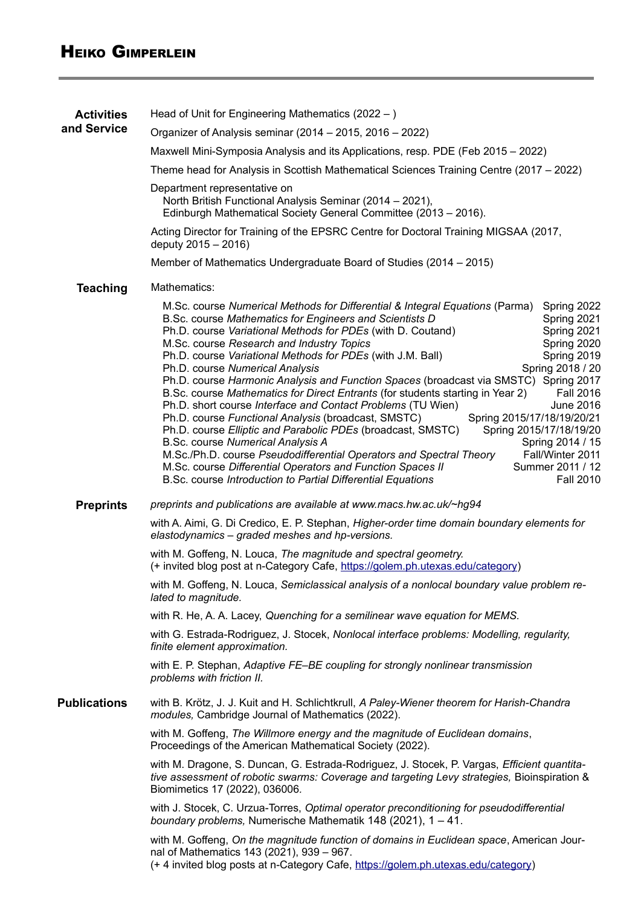| <b>Activities</b>   | Head of Unit for Engineering Mathematics $(2022 - )$                                                                                                                                                                                                                                                                                                                                                                                                                                                                                                                                                                                                                                                                                                                                                                                                                                                                                                                                                                                                                                                                                                                                                                                         |  |  |
|---------------------|----------------------------------------------------------------------------------------------------------------------------------------------------------------------------------------------------------------------------------------------------------------------------------------------------------------------------------------------------------------------------------------------------------------------------------------------------------------------------------------------------------------------------------------------------------------------------------------------------------------------------------------------------------------------------------------------------------------------------------------------------------------------------------------------------------------------------------------------------------------------------------------------------------------------------------------------------------------------------------------------------------------------------------------------------------------------------------------------------------------------------------------------------------------------------------------------------------------------------------------------|--|--|
| and Service         | Organizer of Analysis seminar (2014 – 2015, 2016 – 2022)                                                                                                                                                                                                                                                                                                                                                                                                                                                                                                                                                                                                                                                                                                                                                                                                                                                                                                                                                                                                                                                                                                                                                                                     |  |  |
|                     | Maxwell Mini-Symposia Analysis and its Applications, resp. PDE (Feb 2015 - 2022)                                                                                                                                                                                                                                                                                                                                                                                                                                                                                                                                                                                                                                                                                                                                                                                                                                                                                                                                                                                                                                                                                                                                                             |  |  |
|                     | Theme head for Analysis in Scottish Mathematical Sciences Training Centre (2017 - 2022)                                                                                                                                                                                                                                                                                                                                                                                                                                                                                                                                                                                                                                                                                                                                                                                                                                                                                                                                                                                                                                                                                                                                                      |  |  |
|                     | Department representative on<br>North British Functional Analysis Seminar (2014 – 2021),<br>Edinburgh Mathematical Society General Committee (2013 - 2016).                                                                                                                                                                                                                                                                                                                                                                                                                                                                                                                                                                                                                                                                                                                                                                                                                                                                                                                                                                                                                                                                                  |  |  |
|                     | Acting Director for Training of the EPSRC Centre for Doctoral Training MIGSAA (2017,<br>deputy 2015 - 2016)                                                                                                                                                                                                                                                                                                                                                                                                                                                                                                                                                                                                                                                                                                                                                                                                                                                                                                                                                                                                                                                                                                                                  |  |  |
|                     | Member of Mathematics Undergraduate Board of Studies (2014 - 2015)                                                                                                                                                                                                                                                                                                                                                                                                                                                                                                                                                                                                                                                                                                                                                                                                                                                                                                                                                                                                                                                                                                                                                                           |  |  |
| <b>Teaching</b>     | Mathematics:                                                                                                                                                                                                                                                                                                                                                                                                                                                                                                                                                                                                                                                                                                                                                                                                                                                                                                                                                                                                                                                                                                                                                                                                                                 |  |  |
|                     | M.Sc. course Numerical Methods for Differential & Integral Equations (Parma)<br>Spring 2022<br>B.Sc. course Mathematics for Engineers and Scientists D<br>Spring 2021<br>Ph.D. course Variational Methods for PDEs (with D. Coutand)<br>Spring 2021<br>M.Sc. course Research and Industry Topics<br>Spring 2020<br>Ph.D. course Variational Methods for PDEs (with J.M. Ball)<br>Spring 2019<br>Spring 2018 / 20<br>Ph.D. course Numerical Analysis<br>Ph.D. course Harmonic Analysis and Function Spaces (broadcast via SMSTC) Spring 2017<br><b>Fall 2016</b><br>B.Sc. course Mathematics for Direct Entrants (for students starting in Year 2)<br>Ph.D. short course Interface and Contact Problems (TU Wien)<br><b>June 2016</b><br>Ph.D. course Functional Analysis (broadcast, SMSTC)<br>Spring 2015/17/18/19/20/21<br>Ph.D. course Elliptic and Parabolic PDEs (broadcast, SMSTC)<br>Spring 2015/17/18/19/20<br>B.Sc. course Numerical Analysis A<br>Spring 2014 / 15<br>M.Sc./Ph.D. course Pseudodifferential Operators and Spectral Theory<br>Fall/Winter 2011<br>M.Sc. course Differential Operators and Function Spaces II<br>Summer 2011 / 12<br><b>Fall 2010</b><br>B.Sc. course Introduction to Partial Differential Equations |  |  |
| <b>Preprints</b>    | preprints and publications are available at www.macs.hw.ac.uk/~hg94                                                                                                                                                                                                                                                                                                                                                                                                                                                                                                                                                                                                                                                                                                                                                                                                                                                                                                                                                                                                                                                                                                                                                                          |  |  |
|                     | with A. Aimi, G. Di Credico, E. P. Stephan, Higher-order time domain boundary elements for<br>elastodynamics - graded meshes and hp-versions.                                                                                                                                                                                                                                                                                                                                                                                                                                                                                                                                                                                                                                                                                                                                                                                                                                                                                                                                                                                                                                                                                                |  |  |
|                     | with M. Goffeng, N. Louca, The magnitude and spectral geometry.<br>(+ invited blog post at n-Category Cafe, https://golem.ph.utexas.edu/category)                                                                                                                                                                                                                                                                                                                                                                                                                                                                                                                                                                                                                                                                                                                                                                                                                                                                                                                                                                                                                                                                                            |  |  |
|                     | with M. Goffeng, N. Louca, Semiclassical analysis of a nonlocal boundary value problem re-<br>lated to magnitude.                                                                                                                                                                                                                                                                                                                                                                                                                                                                                                                                                                                                                                                                                                                                                                                                                                                                                                                                                                                                                                                                                                                            |  |  |
|                     | with R. He, A. A. Lacey, Quenching for a semilinear wave equation for MEMS.                                                                                                                                                                                                                                                                                                                                                                                                                                                                                                                                                                                                                                                                                                                                                                                                                                                                                                                                                                                                                                                                                                                                                                  |  |  |
|                     | with G. Estrada-Rodriguez, J. Stocek, Nonlocal interface problems: Modelling, regularity,<br>finite element approximation.                                                                                                                                                                                                                                                                                                                                                                                                                                                                                                                                                                                                                                                                                                                                                                                                                                                                                                                                                                                                                                                                                                                   |  |  |
|                     | with E. P. Stephan, Adaptive FE-BE coupling for strongly nonlinear transmission<br>problems with friction II.                                                                                                                                                                                                                                                                                                                                                                                                                                                                                                                                                                                                                                                                                                                                                                                                                                                                                                                                                                                                                                                                                                                                |  |  |
| <b>Publications</b> | with B. Krötz, J. J. Kuit and H. Schlichtkrull, A Paley-Wiener theorem for Harish-Chandra<br>modules, Cambridge Journal of Mathematics (2022).                                                                                                                                                                                                                                                                                                                                                                                                                                                                                                                                                                                                                                                                                                                                                                                                                                                                                                                                                                                                                                                                                               |  |  |
|                     | with M. Goffeng, The Willmore energy and the magnitude of Euclidean domains,<br>Proceedings of the American Mathematical Society (2022).                                                                                                                                                                                                                                                                                                                                                                                                                                                                                                                                                                                                                                                                                                                                                                                                                                                                                                                                                                                                                                                                                                     |  |  |
|                     | with M. Dragone, S. Duncan, G. Estrada-Rodriguez, J. Stocek, P. Vargas, Efficient quantita-<br>tive assessment of robotic swarms: Coverage and targeting Levy strategies, Bioinspiration &<br>Biomimetics 17 (2022), 036006.                                                                                                                                                                                                                                                                                                                                                                                                                                                                                                                                                                                                                                                                                                                                                                                                                                                                                                                                                                                                                 |  |  |
|                     | with J. Stocek, C. Urzua-Torres, Optimal operator preconditioning for pseudodifferential<br>boundary problems, Numerische Mathematik 148 (2021), $1 - 41$ .                                                                                                                                                                                                                                                                                                                                                                                                                                                                                                                                                                                                                                                                                                                                                                                                                                                                                                                                                                                                                                                                                  |  |  |
|                     | with M. Goffeng, On the magnitude function of domains in Euclidean space, American Jour-<br>nal of Mathematics 143 (2021), 939 - 967.<br>(+ 4 invited blog posts at n-Category Cafe, https://golem.ph.utexas.edu/category)                                                                                                                                                                                                                                                                                                                                                                                                                                                                                                                                                                                                                                                                                                                                                                                                                                                                                                                                                                                                                   |  |  |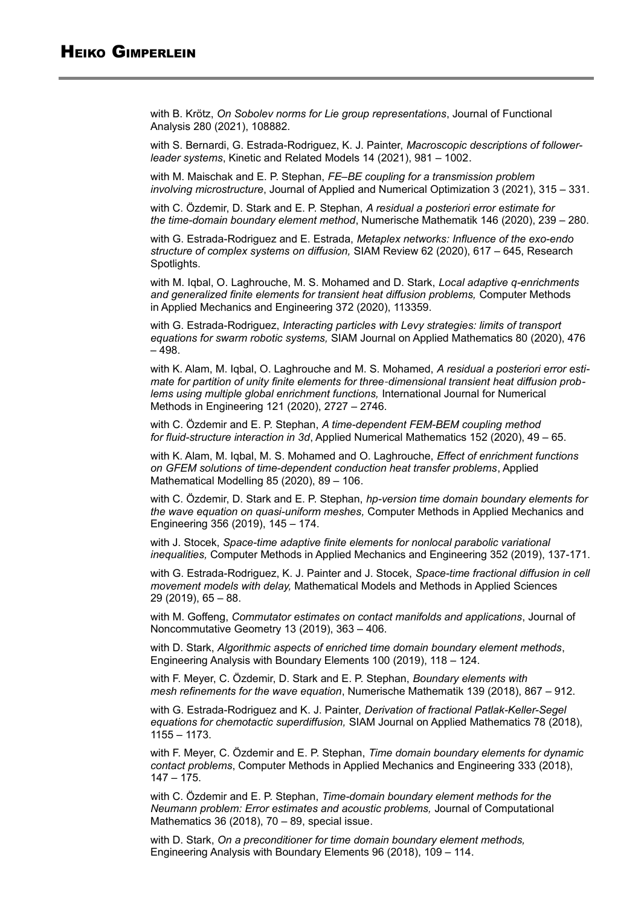with B. Krötz, *On Sobolev norms for Lie group representations*, Journal of Functional Analysis 280 (2021), 108882.

with S. Bernardi, G. Estrada-Rodriguez, K. J. Painter, *Macroscopic descriptions of followerleader systems*, Kinetic and Related Models 14 (2021), 981 – 1002.

with M. Maischak and E. P. Stephan, *FE–BE coupling for a transmission problem involving microstructure*, Journal of Applied and Numerical Optimization 3 (2021), 315 – 331.

with C. Özdemir, D. Stark and E. P. Stephan, *A residual a posteriori error estimate for the time-domain boundary element method*, Numerische Mathematik 146 (2020), 239 – 280.

with G. Estrada-Rodriguez and E. Estrada, *Metaplex networks: Influence of the exo-endo structure of complex systems on diffusion,* SIAM Review 62 (2020), 617 – 645, Research Spotlights.

with M. Iqbal, O. Laghrouche, M. S. Mohamed and D. Stark, *Local adaptive q-enrichments and generalized finite elements for transient heat diffusion problems,* Computer Methods in Applied Mechanics and Engineering 372 (2020), 113359.

with G. Estrada-Rodriguez, *Interacting particles with Levy strategies: limits of transport equations for swarm robotic systems,* SIAM Journal on Applied Mathematics 80 (2020), 476 – 498.

with K. Alam, M. Iqbal, O. Laghrouche and M. S. Mohamed, *A residual a posteriori error estimate for partition of unity finite elements for three dimensional transient heat diffusion prob ‐ lems using multiple global enrichment functions,* International Journal for Numerical Methods in Engineering 121 (2020), 2727 – 2746.

with C. Özdemir and E. P. Stephan, *A time-dependent FEM-BEM coupling method for fluid-structure interaction in 3d*, Applied Numerical Mathematics 152 (2020), 49 – 65.

with K. Alam, M. Iqbal, M. S. Mohamed and O. Laghrouche, *Effect of enrichment functions on GFEM solutions of time-dependent conduction heat transfer problems*, Applied Mathematical Modelling 85 (2020), 89 – 106.

with C. Özdemir, D. Stark and E. P. Stephan, *hp-version time domain boundary elements for the wave equation on quasi-uniform meshes,* Computer Methods in Applied Mechanics and Engineering 356 (2019), 145 – 174.

with J. Stocek, *Space-time adaptive finite elements for nonlocal parabolic variational inequalities,* Computer Methods in Applied Mechanics and Engineering 352 (2019), 137-171.

with G. Estrada-Rodriguez, K. J. Painter and J. Stocek, *Space-time fractional diffusion in cell movement models with delay,* Mathematical Models and Methods in Applied Sciences 29 (2019), 65 – 88.

with M. Goffeng, *Commutator estimates on contact manifolds and applications*, Journal of Noncommutative Geometry 13 (2019), 363 – 406.

with D. Stark, *Algorithmic aspects of enriched time domain boundary element methods*, Engineering Analysis with Boundary Elements 100 (2019), 118 – 124.

with F. Meyer, C. Özdemir, D. Stark and E. P. Stephan, *Boundary elements with mesh refinements for the wave equation*, Numerische Mathematik 139 (2018), 867 – 912.

with G. Estrada-Rodriguez and K. J. Painter, *Derivation of fractional Patlak-Keller-Segel equations for chemotactic superdiffusion,* SIAM Journal on Applied Mathematics 78 (2018), 1155 – 1173.

with F. Meyer, C. Özdemir and E. P. Stephan, *Time domain boundary elements for dynamic contact problems*, Computer Methods in Applied Mechanics and Engineering 333 (2018), 147 – 175.

with C. Özdemir and E. P. Stephan, *Time-domain boundary element methods for the Neumann problem: Error estimates and acoustic problems,* Journal of Computational Mathematics 36 (2018), 70 – 89, special issue.

with D. Stark, *On a preconditioner for time domain boundary element methods,* Engineering Analysis with Boundary Elements 96 (2018), 109 – 114.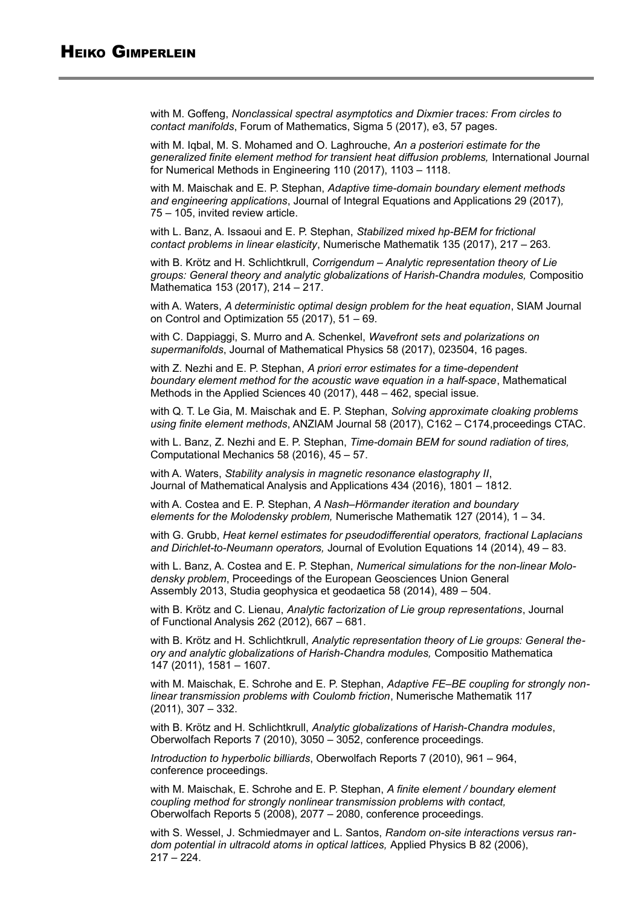with M. Goffeng, *Nonclassical spectral asymptotics and Dixmier traces: From circles to contact manifolds*, Forum of Mathematics, Sigma 5 (2017), e3, 57 pages.

with M. Iqbal, M. S. Mohamed and O. Laghrouche, *An a posteriori estimate for the generalized finite element method for transient heat diffusion problems,* International Journal for Numerical Methods in Engineering 110 (2017), 1103 – 1118.

with M. Maischak and E. P. Stephan, *Adaptive time-domain boundary element methods and engineering applications*, Journal of Integral Equations and Applications 29 (2017)*,* 75 – 105, invited review article.

with L. Banz, A. Issaoui and E. P. Stephan, *Stabilized mixed hp-BEM for frictional contact problems in linear elasticity*, Numerische Mathematik 135 (2017), 217 – 263.

with B. Krötz and H. Schlichtkrull, *Corrigendum – Analytic representation theory of Lie groups: General theory and analytic globalizations of Harish-Chandra modules,* Compositio Mathematica 153 (2017), 214 – 217.

with A. Waters, *A deterministic optimal design problem for the heat equation*, SIAM Journal on Control and Optimization 55 (2017), 51 – 69.

with C. Dappiaggi, S. Murro and A. Schenkel, *Wavefront sets and polarizations on supermanifolds*, Journal of Mathematical Physics 58 (2017), 023504, 16 pages.

with Z. Nezhi and E. P. Stephan, *A priori error estimates for a time-dependent boundary element method for the acoustic wave equation in a half-space*, Mathematical Methods in the Applied Sciences 40 (2017), 448 – 462, special issue.

with Q. T. Le Gia, M. Maischak and E. P. Stephan, *Solving approximate cloaking problems using finite element methods*, ANZIAM Journal 58 (2017), C162 – C174,proceedings CTAC.

with L. Banz, Z. Nezhi and E. P. Stephan, *Time-domain BEM for sound radiation of tires,*  Computational Mechanics 58 (2016), 45 – 57.

with A. Waters, *Stability analysis in magnetic resonance elastography II*, Journal of Mathematical Analysis and Applications 434 (2016), 1801 – 1812.

with A. Costea and E. P. Stephan, *A Nash–Hörmander iteration and boundary elements for the Molodensky problem,* Numerische Mathematik 127 (2014), 1 – 34.

with G. Grubb, *Heat kernel estimates for pseudodifferential operators, fractional Laplacians and Dirichlet-to-Neumann operators,* Journal of Evolution Equations 14 (2014), 49 – 83.

with L. Banz, A. Costea and E. P. Stephan, *Numerical simulations for the non-linear Molodensky problem*, Proceedings of the European Geosciences Union General Assembly 2013, Studia geophysica et geodaetica 58 (2014), 489 – 504.

with B. Krötz and C. Lienau, *Analytic factorization of Lie group representations*, Journal of Functional Analysis 262 (2012), 667 – 681.

with B. Krötz and H. Schlichtkrull, *Analytic representation theory of Lie groups: General theory and analytic globalizations of Harish-Chandra modules,* Compositio Mathematica 147 (2011), 1581 – 1607.

with M. Maischak, E. Schrohe and E. P. Stephan, *Adaptive FE–BE coupling for strongly nonlinear transmission problems with Coulomb friction*, Numerische Mathematik 117  $(2011)$ , 307 – 332.

with B. Krötz and H. Schlichtkrull, *Analytic globalizations of Harish-Chandra modules*, Oberwolfach Reports 7 (2010), 3050 – 3052, conference proceedings.

*Introduction to hyperbolic billiards*, Oberwolfach Reports 7 (2010), 961 – 964, conference proceedings.

with M. Maischak, E. Schrohe and E. P. Stephan, *A finite element / boundary element coupling method for strongly nonlinear transmission problems with contact,*  Oberwolfach Reports 5 (2008), 2077 – 2080, conference proceedings.

with S. Wessel, J. Schmiedmayer and L. Santos, *Random on-site interactions versus random potential in ultracold atoms in optical lattices,* Applied Physics B 82 (2006),  $217 - 224$ .